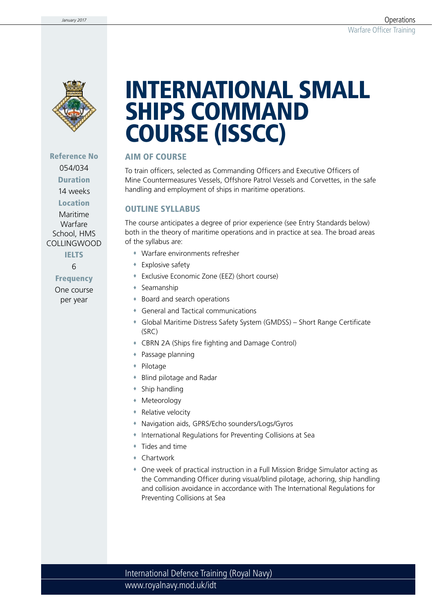

Reference No 054/034 Duration

14 weeks

Location

Maritime Warfare School, HMS COLLINGWOOD

**IELTS** 

6

Frequency One course

per year

# INTERNATIONAL SMALL SHIPS COMMAND COURSE (ISSCC)

#### AIM OF COURSE

To train officers, selected as Commanding Officers and Executive Officers of Mine Countermeasures Vessels, Offshore Patrol Vessels and Corvettes, in the safe handling and employment of ships in maritime operations.

#### OUTLINE SYLLABUS

The course anticipates a degree of prior experience (see Entry Standards below) both in the theory of maritime operations and in practice at sea. The broad areas of the syllabus are:

- Warfare environments refresher
- Explosive safety
- Exclusive Economic Zone (EEZ) (short course)
- Seamanship
- Board and search operations
- General and Tactical communications
- Global Maritime Distress Safety System (GMDSS) Short Range Certificate (SRC)
- CBRN 2A (Ships fire fighting and Damage Control)
- Passage planning
- Pilotage
- Blind pilotage and Radar
- Ship handling
- Meteorology
- **\*** Relative velocity
- Navigation aids, GPRS/Echo sounders/Logs/Gyros
- International Regulations for Preventing Collisions at Sea
- Tides and time
- Chartwork
- One week of practical instruction in a Full Mission Bridge Simulator acting as the Commanding Officer during visual/blind pilotage, achoring, ship handling and collision avoidance in accordance with The International Regulations for Preventing Collisions at Sea